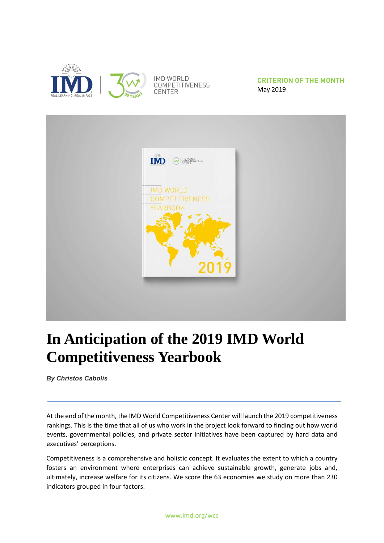

**CRITERION OF THE MONTH** May 2019



## **In Anticipation of the 2019 IMD World Competitiveness Yearbook**

*By Christos Cabolis*

At the end of the month, the IMD World Competitiveness Center will launch the 2019 competitiveness rankings. This is the time that all of us who work in the project look forward to finding out how world events, governmental policies, and private sector initiatives have been captured by hard data and executives' perceptions.

Competitiveness is a comprehensive and holistic concept. It evaluates the extent to which a country fosters an environment where enterprises can achieve sustainable growth, generate jobs and, ultimately, increase welfare for its citizens. We score the 63 economies we study on more than 230 indicators grouped in four factors: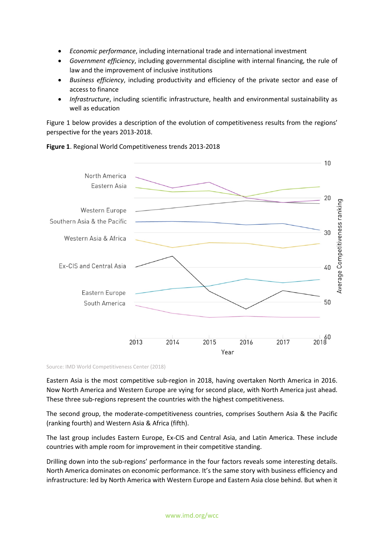- *Economic performance*, including international trade and international investment
- *Government efficiency*, including governmental discipline with internal financing, the rule of law and the improvement of inclusive institutions
- *Business efficiency*, including productivity and efficiency of the private sector and ease of access to finance
- *Infrastructure*, including scientific infrastructure, health and environmental sustainability as well as education

Figure 1 below provides a description of the evolution of competitiveness results from the regions' perspective for the years 2013-2018.

**Figure 1**. Regional World Competitiveness trends 2013-2018



Source: IMD World Competitiveness Center (2018)

Eastern Asia is the most competitive sub-region in 2018, having overtaken North America in 2016. Now North America and Western Europe are vying for second place, with North America just ahead. These three sub-regions represent the countries with the highest competitiveness.

The second group, the moderate-competitiveness countries, comprises Southern Asia & the Pacific (ranking fourth) and Western Asia & Africa (fifth).

The last group includes Eastern Europe, Ex-CIS and Central Asia, and Latin America. These include countries with ample room for improvement in their competitive standing.

Drilling down into the sub-regions' performance in the four factors reveals some interesting details. North America dominates on economic performance. It's the same story with business efficiency and infrastructure: led by North America with Western Europe and Eastern Asia close behind. But when it